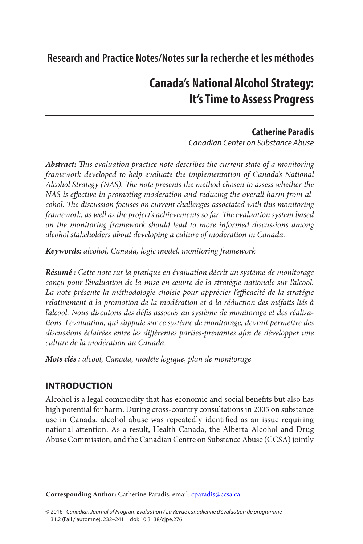# **Research and Practice Notes/Notes sur la recherche et les méthodes**

# **Canada's National Alcohol Strategy: It's Time to Assess Progress**

# **Catherine Paradis**

*Canadian Center on Substance Abuse*

*Abstract: This evaluation practice note describes the current state of a monitoring framework developed to help evaluate the implementation of Canada's National Alcohol Strategy (NAS). The note presents the method chosen to assess whether the NAS is effective in promoting moderation and reducing the overall harm from alcohol. The discussion focuses on current challenges associated with this monitoring framework, as well as the project's achievements so far. The evaluation system based on the monitoring framework should lead to more informed discussions among alcohol stakeholders about developing a culture of moderation in Canada.*

*Keywords: alcohol, Canada, logic model, monitoring framework*

*Résumé : Cette note sur la pratique en évaluation décrit un système de monitorage conçu pour l'évaluation de la mise en œuvre de la stratégie nationale sur l'alcool.*  La note présente la méthodologie choisie pour apprécier l'efficacité de la stratégie *relativement à la promotion de la modération et à la réduction des méfaits liés à l'alcool. Nous discutons des défis associés au système de monitorage et des réalisations. L'évaluation, qui s'appuie sur ce système de monitorage, devrait permettre des discussions éclairées entre les différentes parties-prenantes afin de développer une culture de la modération au Canada.*

*Mots clés : alcool, Canada, modèle logique, plan de monitorage*

# **INTRODUCTION**

Alcohol is a legal commodity that has economic and social benefits but also has high potential for harm. During cross-country consultations in 2005 on substance use in Canada, alcohol abuse was repeatedly identified as an issue requiring national attention. As a result, Health Canada, the Alberta Alcohol and Drug Abuse Commission, and the Canadian Centre on Substance Abuse (CCSA) jointly

**Corresponding Author:** Catherine Paradis, email: [cparadis@ccsa.ca](mailto:cparadis@ccsa.ca\)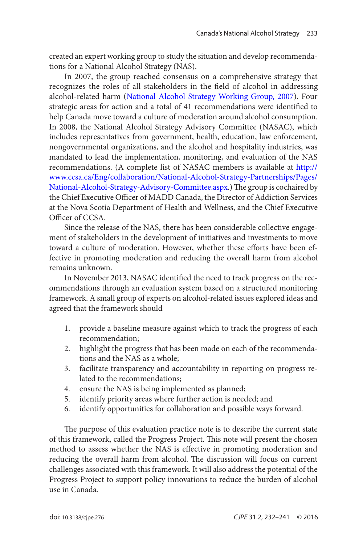<span id="page-1-0"></span>created an expert working group to study the situation and develop recommendations for a National Alcohol Strategy (NAS).

In 2007, the group reached consensus on a comprehensive strategy that recognizes the roles of all stakeholders in the field of alcohol in addressing alcohol-related harm ([National Alcohol Strategy Working Group, 2007](#page-9-0)). Four strategic areas for action and a total of 41 recommendations were identified to help Canada move toward a culture of moderation around alcohol consumption. In 2008, the National Alcohol Strategy Advisory Committee (NASAC), which includes representatives from government, health, education, law enforcement, nongovernmental organizations, and the alcohol and hospitality industries, was mandated to lead the implementation, monitoring, and evaluation of the NAS recommendations. (A complete list of NASAC members is available at [http://](http://www.ccsa.ca/Eng/collaboration/National-Alcohol-Strategy-Partnerships/Pages/National-Alcohol-Strategy-Advisory-Committee.aspx) [www.ccsa.ca/Eng/collaboration/National-Alcohol-Strategy-Partnerships/Pages/](http://www.ccsa.ca/Eng/collaboration/National-Alcohol-Strategy-Partnerships/Pages/National-Alcohol-Strategy-Advisory-Committee.aspx) [National-Alcohol-Strategy-Advisory-Committee.aspx.](http://www.ccsa.ca/Eng/collaboration/National-Alcohol-Strategy-Partnerships/Pages/National-Alcohol-Strategy-Advisory-Committee.aspx)) The group is cochaired by the Chief Executive Officer of MADD Canada, the Director of Addiction Services at the Nova Scotia Department of Health and Wellness, and the Chief Executive Officer of CCSA.

Since the release of the NAS, there has been considerable collective engagement of stakeholders in the development of initiatives and investments to move toward a culture of moderation. However, whether these efforts have been effective in promoting moderation and reducing the overall harm from alcohol remains unknown.

In November 2013, NASAC identified the need to track progress on the recommendations through an evaluation system based on a structured monitoring framework. A small group of experts on alcohol-related issues explored ideas and agreed that the framework should

- 1. provide a baseline measure against which to track the progress of each recommendation;
- 2. highlight the progress that has been made on each of the recommendations and the NAS as a whole;
- 3. facilitate transparency and accountability in reporting on progress related to the recommendations;
- 4. ensure the NAS is being implemented as planned;
- 5. identify priority areas where further action is needed; and
- 6. identify opportunities for collaboration and possible ways forward.

The purpose of this evaluation practice note is to describe the current state of this framework, called the Progress Project. This note will present the chosen method to assess whether the NAS is effective in promoting moderation and reducing the overall harm from alcohol. The discussion will focus on current challenges associated with this framework. It will also address the potential of the Progress Project to support policy innovations to reduce the burden of alcohol use in Canada.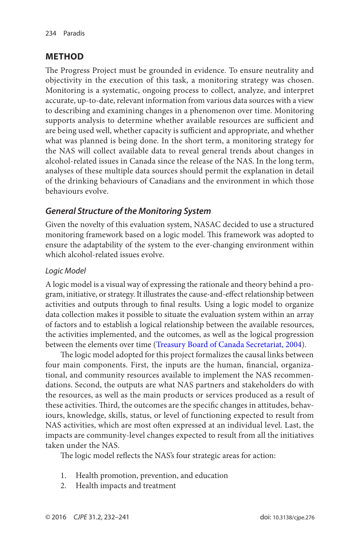#### <span id="page-2-0"></span>**METHOD**

The Progress Project must be grounded in evidence. To ensure neutrality and objectivity in the execution of this task, a monitoring strategy was chosen. Monitoring is a systematic, ongoing process to collect, analyze, and interpret accurate, up-to-date, relevant information from various data sources with a view to describing and examining changes in a phenomenon over time. Monitoring supports analysis to determine whether available resources are sufficient and are being used well, whether capacity is sufficient and appropriate, and whether what was planned is being done. In the short term, a monitoring strategy for the NAS will collect available data to reveal general trends about changes in alcohol-related issues in Canada since the release of the NAS. In the long term, analyses of these multiple data sources should permit the explanation in detail of the drinking behaviours of Canadians and the environment in which those behaviours evolve.

### *General Structure of the Monitoring System*

Given the novelty of this evaluation system, NASAC decided to use a structured monitoring framework based on a logic model. This framework was adopted to ensure the adaptability of the system to the ever-changing environment within which alcohol-related issues evolve.

#### *Logic Model*

A logic model is a visual way of expressing the rationale and theory behind a program, initiative, or strategy. It illustrates the cause-and-effect relationship between activities and outputs through to final results. Using a logic model to organize data collection makes it possible to situate the evaluation system within an array of factors and to establish a logical relationship between the available resources, the activities implemented, and the outcomes, as well as the logical progression between the elements over time ([Treasury Board of Canada Secretariat, 2004](#page-9-0)).

The logic model adopted for this project formalizes the causal links between four main components. First, the inputs are the human, financial, organizational, and community resources available to implement the NAS recommendations. Second, the outputs are what NAS partners and stakeholders do with the resources, as well as the main products or services produced as a result of these activities. Third, the outcomes are the specific changes in attitudes, behaviours, knowledge, skills, status, or level of functioning expected to result from NAS activities, which are most often expressed at an individual level. Last, the impacts are community-level changes expected to result from all the initiatives taken under the NAS.

The logic model reflects the NAS's four strategic areas for action:

- 1. Health promotion, prevention, and education
- 2. Health impacts and treatment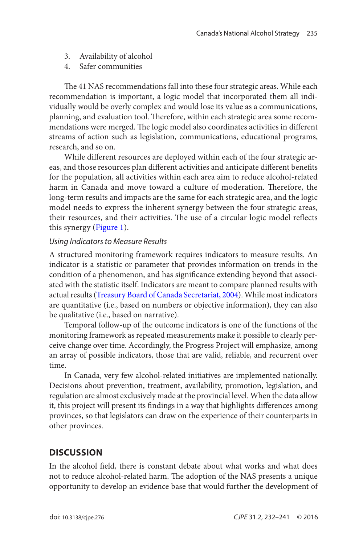- 3. Availability of alcohol
- 4. Safer communities

The 41 NAS recommendations fall into these four strategic areas. While each recommendation is important, a logic model that incorporated them all individually would be overly complex and would lose its value as a communications, planning, and evaluation tool. Therefore, within each strategic area some recommendations were merged. The logic model also coordinates activities in different streams of action such as legislation, communications, educational programs, research, and so on.

While different resources are deployed within each of the four strategic areas, and those resources plan different activities and anticipate different benefits for the population, all activities within each area aim to reduce alcohol-related harm in Canada and move toward a culture of moderation. Therefore, the long-term results and impacts are the same for each strategic area, and the logic model needs to express the inherent synergy between the four strategic areas, their resources, and their activities. The use of a circular logic model reflects this synergy ([Figure 1](#page-4-0)).

#### *Using Indicators to Measure Results*

A structured monitoring framework requires indicators to measure results. An indicator is a statistic or parameter that provides information on trends in the condition of a phenomenon, and has significance extending beyond that associated with the statistic itself. Indicators are meant to compare planned results with actual results ([Treasury Board of Canada Secretariat, 2004](#page-9-0)). While most indicators are quantitative (i.e., based on numbers or objective information), they can also be qualitative (i.e., based on narrative).

Temporal follow-up of the outcome indicators is one of the functions of the monitoring framework as repeated measurements make it possible to clearly perceive change over time. Accordingly, the Progress Project will emphasize, among an array of possible indicators, those that are valid, reliable, and recurrent over time.

In Canada, very few alcohol-related initiatives are implemented nationally. Decisions about prevention, treatment, availability, promotion, legislation, and regulation are almost exclusively made at the provincial level. When the data allow it, this project will present its findings in a way that highlights differences among provinces, so that legislators can draw on the experience of their counterparts in other provinces.

#### **DISCUSSION**

In the alcohol field, there is constant debate about what works and what does not to reduce alcohol-related harm. The adoption of the NAS presents a unique opportunity to develop an evidence base that would further the development of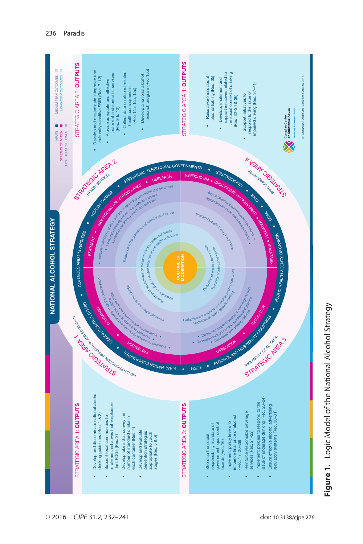<span id="page-4-0"></span>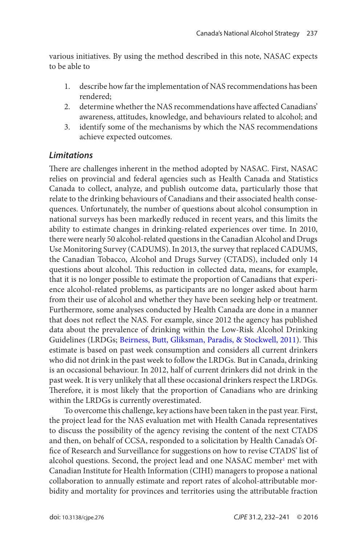<span id="page-5-0"></span>various initiatives. By using the method described in this note, NASAC expects to be able to

- 1. describe how far the implementation of NAS recommendations has been rendered;
- 2. determine whether the NAS recommendations have affected Canadians' awareness, attitudes, knowledge, and behaviours related to alcohol; and
- 3. identify some of the mechanisms by which the NAS recommendations achieve expected outcomes.

#### *Limitations*

There are challenges inherent in the method adopted by NASAC. First, NASAC relies on provincial and federal agencies such as Health Canada and Statistics Canada to collect, analyze, and publish outcome data, particularly those that relate to the drinking behaviours of Canadians and their associated health consequences. Unfortunately, the number of questions about alcohol consumption in national surveys has been markedly reduced in recent years, and this limits the ability to estimate changes in drinking-related experiences over time. In 2010, there were nearly 50 alcohol-related questions in the Canadian Alcohol and Drugs Use Monitoring Survey (CADUMS). In 2013, the survey that replaced CADUMS, the Canadian Tobacco, Alcohol and Drugs Survey (CTADS), included only 14 questions about alcohol. This reduction in collected data, means, for example, that it is no longer possible to estimate the proportion of Canadians that experience alcohol-related problems, as participants are no longer asked about harm from their use of alcohol and whether they have been seeking help or treatment. Furthermore, some analyses conducted by Health Canada are done in a manner that does not reflect the NAS. For example, since 2012 the agency has published data about the prevalence of drinking within the Low-Risk Alcohol Drinking Guidelines (LRDGs; [Beirness, Butt, Gliksman, Paradis, & Stockwell, 2011](#page-8-0)). This estimate is based on past week consumption and considers all current drinkers who did not drink in the past week to follow the LRDGs. But in Canada, drinking is an occasional behaviour. In 2012, half of current drinkers did not drink in the past week. It is very unlikely that all these occasional drinkers respect the LRDGs. Therefore, it is most likely that the proportion of Canadians who are drinking within the LRDGs is currently overestimated.

To overcome this challenge, key actions have been taken in the past year. First, the project lead for the NAS evaluation met with Health Canada representatives to discuss the possibility of the agency revising the content of the next CTADS and then, on behalf of CCSA, responded to a solicitation by Health Canada's Office of Research and Surveillance for suggestions on how to revise CTADS' list of alcohol questions. Second, the project lead and one NASAC member<sup>[1](#page-8-0)</sup> met with Canadian Institute for Health Information (CIHI) managers to propose a national collaboration to annually estimate and report rates of alcohol-attributable morbidity and mortality for provinces and territories using the attributable fraction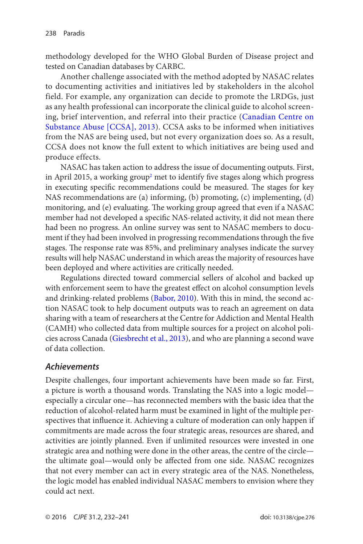<span id="page-6-0"></span>methodology developed for the WHO Global Burden of Disease project and tested on Canadian databases by CARBC.

Another challenge associated with the method adopted by NASAC relates to documenting activities and initiatives led by stakeholders in the alcohol field. For example, any organization can decide to promote the LRDGs, just as any health professional can incorporate the clinical guide to alcohol screening, brief intervention, and referral into their practice ([Canadian Centre on](#page-9-0) [Substance Abuse \[CCSA\], 2013](#page-9-0)). CCSA asks to be informed when initiatives from the NAS are being used, but not every organization does so. As a result, CCSA does not know the full extent to which initiatives are being used and produce effects.

NASAC has taken action to address the issue of documenting outputs. First, in April [2](#page-8-0)015, a working group<sup>2</sup> met to identify five stages along which progress in executing specific recommendations could be measured. The stages for key NAS recommendations are (a) informing, (b) promoting, (c) implementing, (d) monitoring, and (e) evaluating. The working group agreed that even if a NASAC member had not developed a specific NAS-related activity, it did not mean there had been no progress. An online survey was sent to NASAC members to document if they had been involved in progressing recommendations through the five stages. The response rate was 85%, and preliminary analyses indicate the survey results will help NASAC understand in which areas the majority of resources have been deployed and where activities are critically needed.

Regulations directed toward commercial sellers of alcohol and backed up with enforcement seem to have the greatest effect on alcohol consumption levels and drinking-related problems ([Babor, 2010](#page-8-0)). With this in mind, the second action NASAC took to help document outputs was to reach an agreement on data sharing with a team of researchers at the Centre for Addiction and Mental Health (CAMH) who collected data from multiple sources for a project on alcohol policies across Canada ([Giesbrecht et al., 2013](#page-9-0)), and who are planning a second wave of data collection.

#### *Achievements*

Despite challenges, four important achievements have been made so far. First, a picture is worth a thousand words. Translating the NAS into a logic model especially a circular one—has reconnected members with the basic idea that the reduction of alcohol-related harm must be examined in light of the multiple perspectives that influence it. Achieving a culture of moderation can only happen if commitments are made across the four strategic areas, resources are shared, and activities are jointly planned. Even if unlimited resources were invested in one strategic area and nothing were done in the other areas, the centre of the circle the ultimate goal—would only be affected from one side. NASAC recognizes that not every member can act in every strategic area of the NAS. Nonetheless, the logic model has enabled individual NASAC members to envision where they could act next.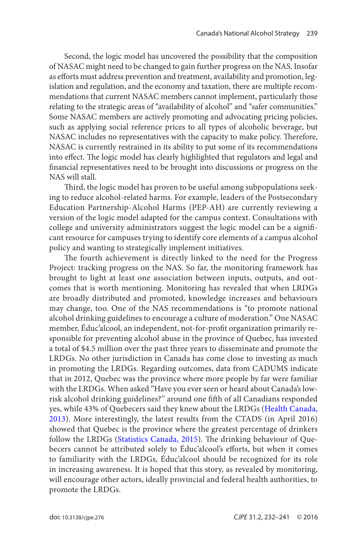<span id="page-7-0"></span>Second, the logic model has uncovered the possibility that the composition of NASAC might need to be changed to gain further progress on the NAS. Insofar as efforts must address prevention and treatment, availability and promotion, legislation and regulation, and the economy and taxation, there are multiple recommendations that current NASAC members cannot implement, particularly those relating to the strategic areas of "availability of alcohol" and "safer communities." Some NASAC members are actively promoting and advocating pricing policies, such as applying social reference prices to all types of alcoholic beverage, but NASAC includes no representatives with the capacity to make policy. Therefore, NASAC is currently restrained in its ability to put some of its recommendations into effect. The logic model has clearly highlighted that regulators and legal and financial representatives need to be brought into discussions or progress on the NAS will stall.

Third, the logic model has proven to be useful among subpopulations seeking to reduce alcohol-related harms. For example, leaders of the Postsecondary Education Partnership-Alcohol Harms (PEP-AH) are currently reviewing a version of the logic model adapted for the campus context. Consultations with college and university administrators suggest the logic model can be a significant resource for campuses trying to identify core elements of a campus alcohol policy and wanting to strategically implement initiatives.

The fourth achievement is directly linked to the need for the Progress Project: tracking progress on the NAS. So far, the monitoring framework has brought to light at least one association between inputs, outputs, and outcomes that is worth mentioning. Monitoring has revealed that when LRDGs are broadly distributed and promoted, knowledge increases and behaviours may change, too. One of the NAS recommendations is "to promote national alcohol drinking guidelines to encourage a culture of moderation." One NASAC member, Éduc'alcool, an independent, not-for-profit organization primarily responsible for preventing alcohol abuse in the province of Quebec, has invested a total of \$4.5 million over the past three years to disseminate and promote the LRDGs. No other jurisdiction in Canada has come close to investing as much in promoting the LRDGs. Regarding outcomes, data from CADUMS indicate that in 2012, Quebec was the province where more people by far were familiar with the LRDGs. When asked "Have you ever seen or heard about Canada's lowrisk alcohol drinking guidelines?" around one fifth of all Canadians responded yes, while 43% of Quebecers said they knew about the LRDGs ([Health Canada,](#page-9-0) [2013](#page-9-0)). More interestingly, the latest results from the CTADS (in April 2016) showed that Quebec is the province where the greatest percentage of drinkers follow the LRDGs ([Statistics Canada, 2015](#page-9-0)). The drinking behaviour of Quebecers cannot be attributed solely to Éduc'alcool's efforts, but when it comes to familiarity with the LRDGs, Éduc'alcool should be recognized for its role in increasing awareness. It is hoped that this story, as revealed by monitoring, will encourage other actors, ideally provincial and federal health authorities, to promote the LRDGs.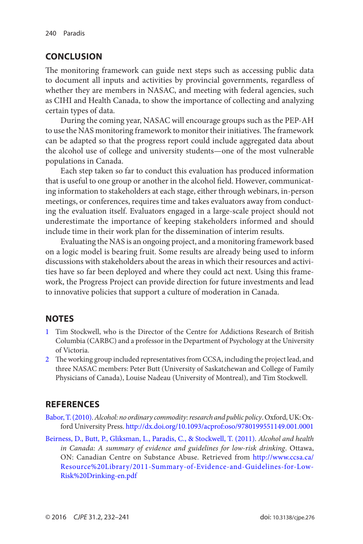# <span id="page-8-0"></span>**CONCLUSION**

The monitoring framework can guide next steps such as accessing public data to document all inputs and activities by provincial governments, regardless of whether they are members in NASAC, and meeting with federal agencies, such as CIHI and Health Canada, to show the importance of collecting and analyzing certain types of data.

During the coming year, NASAC will encourage groups such as the PEP-AH to use the NAS monitoring framework to monitor their initiatives. The framework can be adapted so that the progress report could include aggregated data about the alcohol use of college and university students—one of the most vulnerable populations in Canada.

Each step taken so far to conduct this evaluation has produced information that is useful to one group or another in the alcohol field. However, communicating information to stakeholders at each stage, either through webinars, in-person meetings, or conferences, requires time and takes evaluators away from conducting the evaluation itself. Evaluators engaged in a large-scale project should not underestimate the importance of keeping stakeholders informed and should include time in their work plan for the dissemination of interim results.

Evaluating the NAS is an ongoing project, and a monitoring framework based on a logic model is bearing fruit. Some results are already being used to inform discussions with stakeholders about the areas in which their resources and activities have so far been deployed and where they could act next. Using this framework, the Progress Project can provide direction for future investments and lead to innovative policies that support a culture of moderation in Canada.

# **NOTES**

- [1](#page-5-0) Tim Stockwell, who is the Director of the Centre for Addictions Research of British Columbia (CARBC) and a professor in the Department of Psychology at the University of Victoria.
- [2](#page-6-0) The working group included representatives from CCSA, including the project lead, and three NASAC members: Peter Butt (University of Saskatchewan and College of Family Physicians of Canada), Louise Nadeau (University of Montreal), and Tim Stockwell.

# **REFERENCES**

- [Babor, T. \(2010\)](#page-6-0). *Alcohol: no ordinary commodity: research and public policy*. Oxford, UK: Oxford University Press.<http://dx.doi.org/10.1093/acprof:oso/9780199551149.001.0001>
- [Beirness, D., Butt, P., Gliksman, L., Paradis, C., & Stockwell, T. \(2011\)](#page-5-0). *Alcohol and health in Canada: A summary of evidence and guidelines for low-risk drinking*. Ottawa, ON: Canadian Centre on Substance Abuse. Retrieved from [http://www.ccsa.ca/](http://www.ccsa.ca/Resource%20Library/2011-Summary-of-Evidence-and-Guidelines-for-Low-Risk%20Drinking-en.pdf) [Resource%20Library/2011-Summary-of-Evidence-and-Guidelines-for-Low-](http://www.ccsa.ca/Resource%20Library/2011-Summary-of-Evidence-and-Guidelines-for-Low-Risk%20Drinking-en.pdf)[Risk%20Drinking-en.pdf](http://www.ccsa.ca/Resource%20Library/2011-Summary-of-Evidence-and-Guidelines-for-Low-Risk%20Drinking-en.pdf)